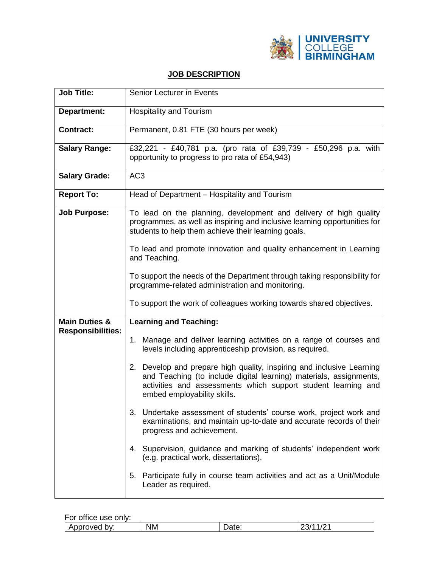

## **JOB DESCRIPTION**

| <b>Job Title:</b>                                    | Senior Lecturer in Events                                                                                                                                                                                                                   |  |  |  |
|------------------------------------------------------|---------------------------------------------------------------------------------------------------------------------------------------------------------------------------------------------------------------------------------------------|--|--|--|
| <b>Department:</b>                                   | <b>Hospitality and Tourism</b>                                                                                                                                                                                                              |  |  |  |
| <b>Contract:</b>                                     | Permanent, 0.81 FTE (30 hours per week)                                                                                                                                                                                                     |  |  |  |
| <b>Salary Range:</b>                                 | £32,221 - £40,781 p.a. (pro rata of £39,739 - £50,296 p.a. with<br>opportunity to progress to pro rata of £54,943)                                                                                                                          |  |  |  |
| <b>Salary Grade:</b>                                 | AC <sub>3</sub>                                                                                                                                                                                                                             |  |  |  |
| <b>Report To:</b>                                    | Head of Department - Hospitality and Tourism                                                                                                                                                                                                |  |  |  |
| <b>Job Purpose:</b>                                  | To lead on the planning, development and delivery of high quality<br>programmes, as well as inspiring and inclusive learning opportunities for<br>students to help them achieve their learning goals.                                       |  |  |  |
|                                                      | To lead and promote innovation and quality enhancement in Learning<br>and Teaching.                                                                                                                                                         |  |  |  |
|                                                      | To support the needs of the Department through taking responsibility for<br>programme-related administration and monitoring.                                                                                                                |  |  |  |
|                                                      | To support the work of colleagues working towards shared objectives.                                                                                                                                                                        |  |  |  |
| <b>Main Duties &amp;</b><br><b>Responsibilities:</b> | <b>Learning and Teaching:</b>                                                                                                                                                                                                               |  |  |  |
|                                                      | Manage and deliver learning activities on a range of courses and<br>1.<br>levels including apprenticeship provision, as required.                                                                                                           |  |  |  |
|                                                      | 2. Develop and prepare high quality, inspiring and inclusive Learning<br>and Teaching (to include digital learning) materials, assignments,<br>activities and assessments which support student learning and<br>embed employability skills. |  |  |  |
|                                                      | 3. Undertake assessment of students' course work, project work and<br>examinations, and maintain up-to-date and accurate records of their<br>progress and achievement.                                                                      |  |  |  |
|                                                      | 4. Supervision, guidance and marking of students' independent work<br>(e.g. practical work, dissertations).                                                                                                                                 |  |  |  |
|                                                      | 5. Participate fully in course team activities and act as a Unit/Module<br>Leader as required.                                                                                                                                              |  |  |  |

| For office use only: |           |       |          |
|----------------------|-----------|-------|----------|
| Approved by:         | <b>NM</b> | Date: | 23/11/21 |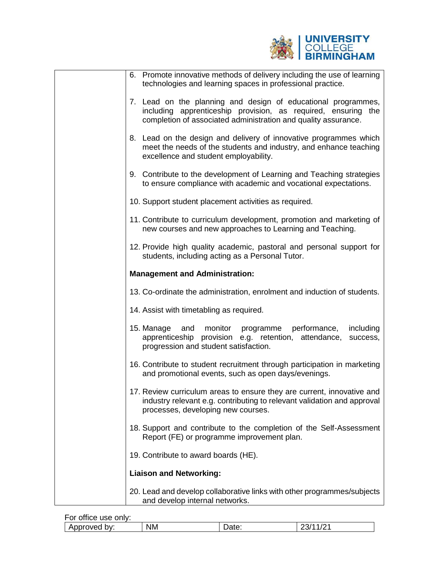

| 6. Promote innovative methods of delivery including the use of learning<br>technologies and learning spaces in professional practice.                                                            |
|--------------------------------------------------------------------------------------------------------------------------------------------------------------------------------------------------|
| 7. Lead on the planning and design of educational programmes,<br>including apprenticeship provision, as required, ensuring the<br>completion of associated administration and quality assurance. |
| 8. Lead on the design and delivery of innovative programmes which<br>meet the needs of the students and industry, and enhance teaching<br>excellence and student employability.                  |
| 9. Contribute to the development of Learning and Teaching strategies<br>to ensure compliance with academic and vocational expectations.                                                          |
| 10. Support student placement activities as required.                                                                                                                                            |
| 11. Contribute to curriculum development, promotion and marketing of<br>new courses and new approaches to Learning and Teaching.                                                                 |
| 12. Provide high quality academic, pastoral and personal support for<br>students, including acting as a Personal Tutor.                                                                          |
| <b>Management and Administration:</b>                                                                                                                                                            |
| 13. Co-ordinate the administration, enrolment and induction of students.                                                                                                                         |
| 14. Assist with timetabling as required.                                                                                                                                                         |
| 15. Manage<br>and<br>monitor<br>performance,<br>programme<br>including<br>apprenticeship provision e.g. retention, attendance,<br>success,<br>progression and student satisfaction.              |
| 16. Contribute to student recruitment through participation in marketing<br>and promotional events, such as open days/evenings.                                                                  |
| 17. Review curriculum areas to ensure they are current, innovative and<br>industry relevant e.g. contributing to relevant validation and approval<br>processes, developing new courses.          |
| 18. Support and contribute to the completion of the Self-Assessment<br>Report (FE) or programme improvement plan.                                                                                |
| 19. Contribute to award boards (HE).                                                                                                                                                             |
| <b>Liaison and Networking:</b>                                                                                                                                                                   |
| 20. Lead and develop collaborative links with other programmes/subjects<br>and develop internal networks.                                                                                        |

| <br>For<br>office use only: |           |       |                   |
|-----------------------------|-----------|-------|-------------------|
| Approved<br>bv:             | <b>NM</b> | υαισ. | $\sqrt{2}$<br>∠ا∪ |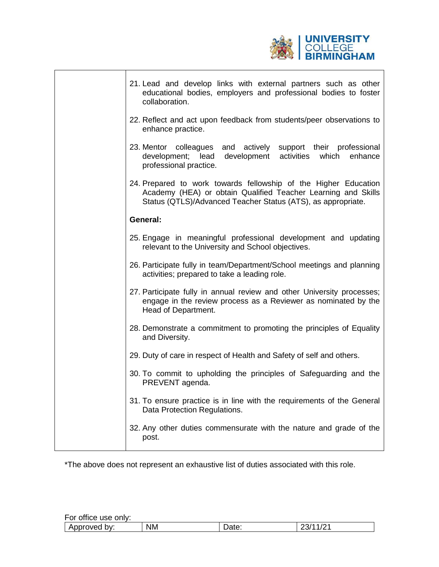

|  | 21. Lead and develop links with external partners such as other<br>educational bodies, employers and professional bodies to foster<br>collaboration.                                             |
|--|--------------------------------------------------------------------------------------------------------------------------------------------------------------------------------------------------|
|  | 22. Reflect and act upon feedback from students/peer observations to<br>enhance practice.                                                                                                        |
|  | 23. Mentor colleagues and actively support their professional<br>development; lead<br>development activities<br>enhance<br>which<br>professional practice.                                       |
|  | 24. Prepared to work towards fellowship of the Higher Education<br>Academy (HEA) or obtain Qualified Teacher Learning and Skills<br>Status (QTLS)/Advanced Teacher Status (ATS), as appropriate. |
|  | General:                                                                                                                                                                                         |
|  | 25. Engage in meaningful professional development and updating<br>relevant to the University and School objectives.                                                                              |
|  | 26. Participate fully in team/Department/School meetings and planning<br>activities; prepared to take a leading role.                                                                            |
|  | 27. Participate fully in annual review and other University processes;<br>engage in the review process as a Reviewer as nominated by the<br>Head of Department.                                  |
|  | 28. Demonstrate a commitment to promoting the principles of Equality<br>and Diversity.                                                                                                           |
|  | 29. Duty of care in respect of Health and Safety of self and others.                                                                                                                             |
|  | 30. To commit to upholding the principles of Safeguarding and the<br>PREVENT agenda.                                                                                                             |
|  | 31. To ensure practice is in line with the requirements of the General<br>Data Protection Regulations.                                                                                           |
|  | 32. Any other duties commensurate with the nature and grade of the<br>post.                                                                                                                      |
|  |                                                                                                                                                                                                  |

\*The above does not represent an exhaustive list of duties associated with this role.

| For office use only: |           |       |     |
|----------------------|-----------|-------|-----|
| Approved by:         | <b>NM</b> | Date: | ∠ات |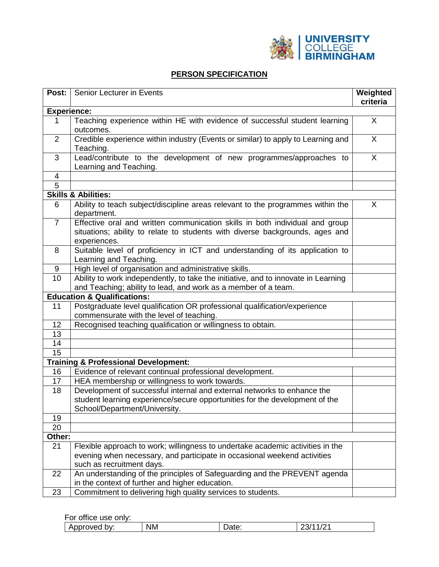

## **PERSON SPECIFICATION**

| Post:              | Senior Lecturer in Events                                                                                                                                                    | Weighted<br>criteria |
|--------------------|------------------------------------------------------------------------------------------------------------------------------------------------------------------------------|----------------------|
| <b>Experience:</b> |                                                                                                                                                                              |                      |
| 1                  | Teaching experience within HE with evidence of successful student learning<br>outcomes.                                                                                      | X                    |
| $\overline{2}$     | Credible experience within industry (Events or similar) to apply to Learning and<br>Teaching.                                                                                | X                    |
| 3                  | Lead/contribute to the development of new programmes/approaches to<br>Learning and Teaching.                                                                                 | X                    |
| 4                  |                                                                                                                                                                              |                      |
| 5                  |                                                                                                                                                                              |                      |
|                    | <b>Skills &amp; Abilities:</b>                                                                                                                                               |                      |
| 6                  | Ability to teach subject/discipline areas relevant to the programmes within the<br>department.                                                                               | X                    |
| $\overline{7}$     | Effective oral and written communication skills in both individual and group<br>situations; ability to relate to students with diverse backgrounds, ages and<br>experiences. |                      |
| 8                  | Suitable level of proficiency in ICT and understanding of its application to<br>Learning and Teaching.                                                                       |                      |
| 9                  | High level of organisation and administrative skills.                                                                                                                        |                      |
| 10                 | Ability to work independently, to take the initiative, and to innovate in Learning<br>and Teaching; ability to lead, and work as a member of a team.                         |                      |
|                    | <b>Education &amp; Qualifications:</b>                                                                                                                                       |                      |
| 11                 | Postgraduate level qualification OR professional qualification/experience                                                                                                    |                      |
|                    | commensurate with the level of teaching.                                                                                                                                     |                      |
| 12                 | Recognised teaching qualification or willingness to obtain.                                                                                                                  |                      |
| 13                 |                                                                                                                                                                              |                      |
| 14                 |                                                                                                                                                                              |                      |
| 15                 |                                                                                                                                                                              |                      |
|                    | <b>Training &amp; Professional Development:</b>                                                                                                                              |                      |
| 16                 | Evidence of relevant continual professional development.                                                                                                                     |                      |
| 17                 | HEA membership or willingness to work towards.                                                                                                                               |                      |
| 18                 | Development of successful internal and external networks to enhance the                                                                                                      |                      |
|                    | student learning experience/secure opportunities for the development of the<br>School/Department/University.                                                                 |                      |
| 19                 |                                                                                                                                                                              |                      |
| 20                 |                                                                                                                                                                              |                      |
| Other:             |                                                                                                                                                                              |                      |
| 21                 | Flexible approach to work; willingness to undertake academic activities in the                                                                                               |                      |
|                    | evening when necessary, and participate in occasional weekend activities<br>such as recruitment days.                                                                        |                      |
| 22                 | An understanding of the principles of Safeguarding and the PREVENT agenda<br>in the context of further and higher education.                                                 |                      |
| 23                 | Commitment to delivering high quality services to students.                                                                                                                  |                      |

For office use only:

| .<br>ונוני<br>⊬ت<br>∼ |  | hv.<br>wec | <b>NM</b> | aw. |  |
|-----------------------|--|------------|-----------|-----|--|
|-----------------------|--|------------|-----------|-----|--|